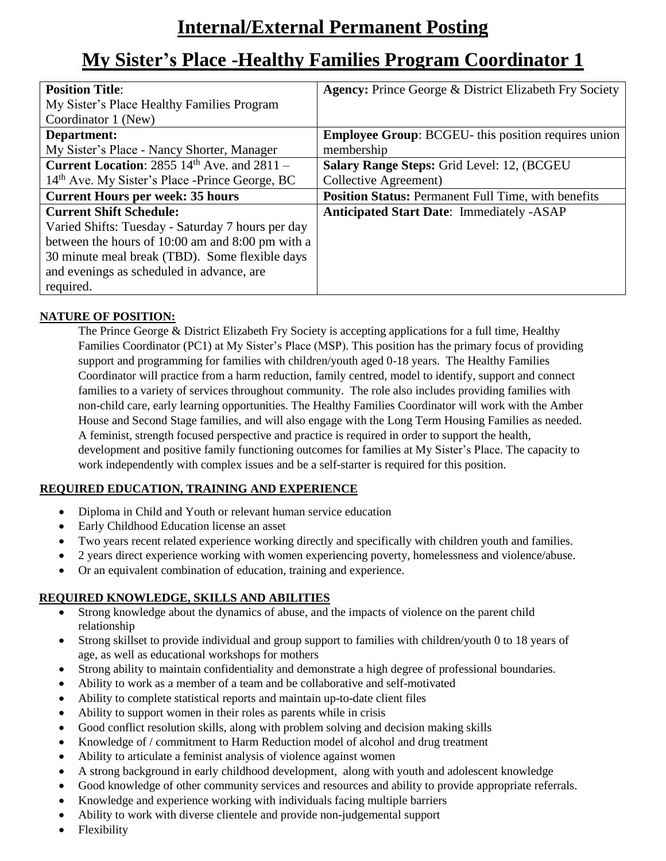# **Internal/External Permanent Posting**

## **My Sister's Place -Healthy Families Program Coordinator 1**

| <b>Position Title:</b>                                     | <b>Agency: Prince George &amp; District Elizabeth Fry Society</b> |
|------------------------------------------------------------|-------------------------------------------------------------------|
| My Sister's Place Healthy Families Program                 |                                                                   |
| Coordinator 1 (New)                                        |                                                                   |
| Department:                                                | <b>Employee Group: BCGEU-</b> this position requires union        |
| My Sister's Place - Nancy Shorter, Manager                 | membership                                                        |
| <b>Current Location:</b> 2855 $14th$ Ave. and 2811 –       | Salary Range Steps: Grid Level: 12, (BCGEU                        |
| 14 <sup>th</sup> Ave. My Sister's Place -Prince George, BC | Collective Agreement)                                             |
| <b>Current Hours per week: 35 hours</b>                    | Position Status: Permanent Full Time, with benefits               |
| <b>Current Shift Schedule:</b>                             | <b>Anticipated Start Date: Immediately -ASAP</b>                  |
| Varied Shifts: Tuesday - Saturday 7 hours per day          |                                                                   |
| between the hours of 10:00 am and 8:00 pm with a           |                                                                   |
| 30 minute meal break (TBD). Some flexible days             |                                                                   |
| and evenings as scheduled in advance, are                  |                                                                   |
| required.                                                  |                                                                   |

## **NATURE OF POSITION:**

The Prince George & District Elizabeth Fry Society is accepting applications for a full time, Healthy Families Coordinator (PC1) at My Sister's Place (MSP). This position has the primary focus of providing support and programming for families with children/youth aged 0-18 years. The Healthy Families Coordinator will practice from a harm reduction, family centred, model to identify, support and connect families to a variety of services throughout community. The role also includes providing families with non-child care, early learning opportunities. The Healthy Families Coordinator will work with the Amber House and Second Stage families, and will also engage with the Long Term Housing Families as needed. A feminist, strength focused perspective and practice is required in order to support the health, development and positive family functioning outcomes for families at My Sister's Place. The capacity to work independently with complex issues and be a self-starter is required for this position.

## **REQUIRED EDUCATION, TRAINING AND EXPERIENCE**

- Diploma in Child and Youth or relevant human service education
- Early Childhood Education license an asset
- Two years recent related experience working directly and specifically with children youth and families.
- 2 years direct experience working with women experiencing poverty, homelessness and violence/abuse.
- Or an equivalent combination of education, training and experience.

## **REQUIRED KNOWLEDGE, SKILLS AND ABILITIES**

- Strong knowledge about the dynamics of abuse, and the impacts of violence on the parent child relationship
- Strong skillset to provide individual and group support to families with children/youth 0 to 18 years of age, as well as educational workshops for mothers
- Strong ability to maintain confidentiality and demonstrate a high degree of professional boundaries.
- Ability to work as a member of a team and be collaborative and self-motivated
- Ability to complete statistical reports and maintain up-to-date client files
- Ability to support women in their roles as parents while in crisis
- Good conflict resolution skills, along with problem solving and decision making skills
- Knowledge of / commitment to Harm Reduction model of alcohol and drug treatment
- Ability to articulate a feminist analysis of violence against women
- A strong background in early childhood development, along with youth and adolescent knowledge
- Good knowledge of other community services and resources and ability to provide appropriate referrals.
- Knowledge and experience working with individuals facing multiple barriers
- Ability to work with diverse clientele and provide non-judgemental support
- Flexibility